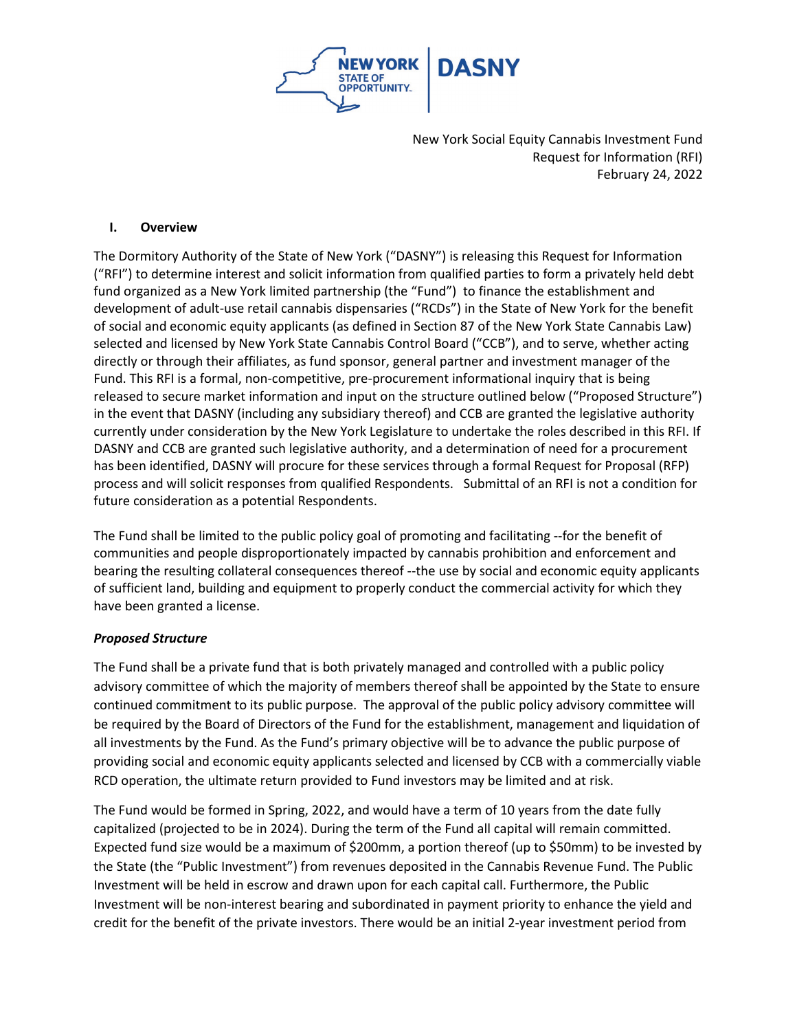

#### **I. Overview**

The Dormitory Authority of the State of New York ("DASNY") is releasing this Request for Information ("RFI") to determine interest and solicit information from qualified parties to form a privately held debt fund organized as a New York limited partnership (the "Fund") to finance the establishment and development of adult-use retail cannabis dispensaries ("RCDs") in the State of New York for the benefit of social and economic equity applicants (as defined in Section 87 of the New York State Cannabis Law) selected and licensed by New York State Cannabis Control Board ("CCB"), and to serve, whether acting directly or through their affiliates, as fund sponsor, general partner and investment manager of the Fund. This RFI is a formal, non-competitive, pre-procurement informational inquiry that is being released to secure market information and input on the structure outlined below ("Proposed Structure") in the event that DASNY (including any subsidiary thereof) and CCB are granted the legislative authority currently under consideration by the New York Legislature to undertake the roles described in this RFI. If DASNY and CCB are granted such legislative authority, and a determination of need for a procurement has been identified, DASNY will procure for these services through a formal Request for Proposal (RFP) process and will solicit responses from qualified Respondents. Submittal of an RFI is not a condition for future consideration as a potential Respondents.

The Fund shall be limited to the public policy goal of promoting and facilitating --for the benefit of communities and people disproportionately impacted by cannabis prohibition and enforcement and bearing the resulting collateral consequences thereof --the use by social and economic equity applicants of sufficient land, building and equipment to properly conduct the commercial activity for which they have been granted a license.

## *Proposed Structure*

The Fund shall be a private fund that is both privately managed and controlled with a public policy advisory committee of which the majority of members thereof shall be appointed by the State to ensure continued commitment to its public purpose. The approval of the public policy advisory committee will be required by the Board of Directors of the Fund for the establishment, management and liquidation of all investments by the Fund. As the Fund's primary objective will be to advance the public purpose of providing social and economic equity applicants selected and licensed by CCB with a commercially viable RCD operation, the ultimate return provided to Fund investors may be limited and at risk.

The Fund would be formed in Spring, 2022, and would have a term of 10 years from the date fully capitalized (projected to be in 2024). During the term of the Fund all capital will remain committed. Expected fund size would be a maximum of \$200mm, a portion thereof (up to \$50mm) to be invested by the State (the "Public Investment") from revenues deposited in the Cannabis Revenue Fund. The Public Investment will be held in escrow and drawn upon for each capital call. Furthermore, the Public Investment will be non-interest bearing and subordinated in payment priority to enhance the yield and credit for the benefit of the private investors. There would be an initial 2-year investment period from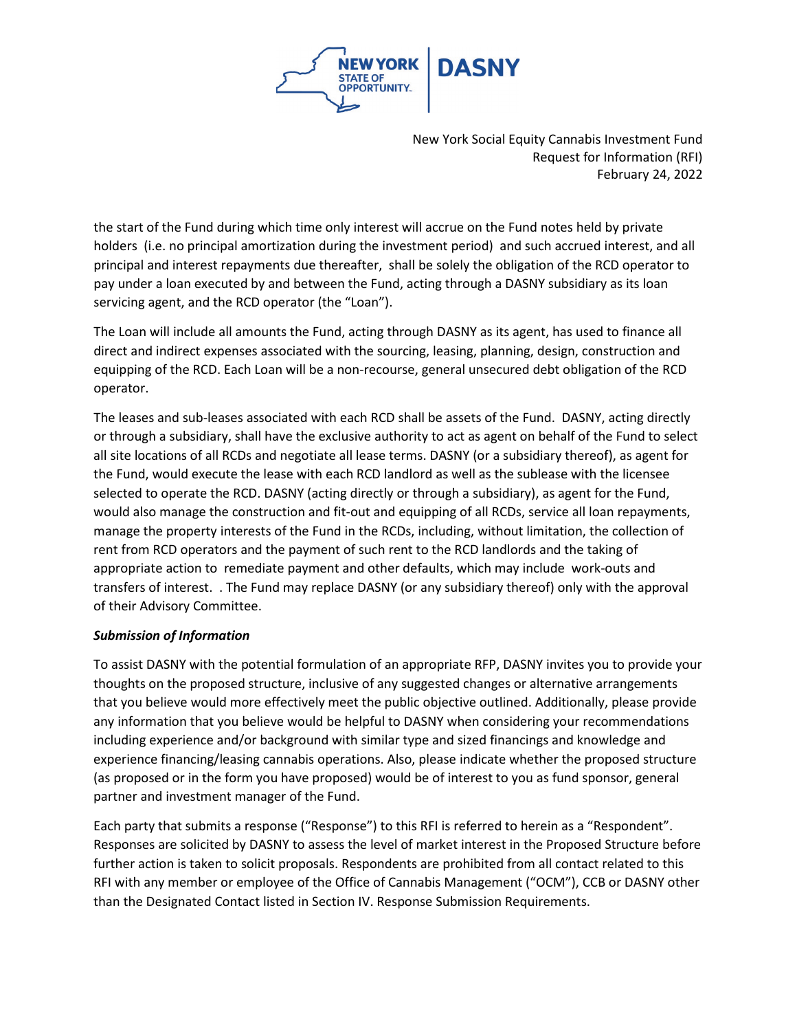

the start of the Fund during which time only interest will accrue on the Fund notes held by private holders (i.e. no principal amortization during the investment period) and such accrued interest, and all principal and interest repayments due thereafter, shall be solely the obligation of the RCD operator to pay under a loan executed by and between the Fund, acting through a DASNY subsidiary as its loan servicing agent, and the RCD operator (the "Loan").

The Loan will include all amounts the Fund, acting through DASNY as its agent, has used to finance all direct and indirect expenses associated with the sourcing, leasing, planning, design, construction and equipping of the RCD. Each Loan will be a non-recourse, general unsecured debt obligation of the RCD operator.

The leases and sub-leases associated with each RCD shall be assets of the Fund. DASNY, acting directly or through a subsidiary, shall have the exclusive authority to act as agent on behalf of the Fund to select all site locations of all RCDs and negotiate all lease terms. DASNY (or a subsidiary thereof), as agent for the Fund, would execute the lease with each RCD landlord as well as the sublease with the licensee selected to operate the RCD. DASNY (acting directly or through a subsidiary), as agent for the Fund, would also manage the construction and fit-out and equipping of all RCDs, service all loan repayments, manage the property interests of the Fund in the RCDs, including, without limitation, the collection of rent from RCD operators and the payment of such rent to the RCD landlords and the taking of appropriate action to remediate payment and other defaults, which may include work-outs and transfers of interest. . The Fund may replace DASNY (or any subsidiary thereof) only with the approval of their Advisory Committee.

## *Submission of Information*

To assist DASNY with the potential formulation of an appropriate RFP, DASNY invites you to provide your thoughts on the proposed structure, inclusive of any suggested changes or alternative arrangements that you believe would more effectively meet the public objective outlined. Additionally, please provide any information that you believe would be helpful to DASNY when considering your recommendations including experience and/or background with similar type and sized financings and knowledge and experience financing/leasing cannabis operations. Also, please indicate whether the proposed structure (as proposed or in the form you have proposed) would be of interest to you as fund sponsor, general partner and investment manager of the Fund.

Each party that submits a response ("Response") to this RFI is referred to herein as a "Respondent". Responses are solicited by DASNY to assess the level of market interest in the Proposed Structure before further action is taken to solicit proposals. Respondents are prohibited from all contact related to this RFI with any member or employee of the Office of Cannabis Management ("OCM"), CCB or DASNY other than the Designated Contact listed in Section IV. Response Submission Requirements.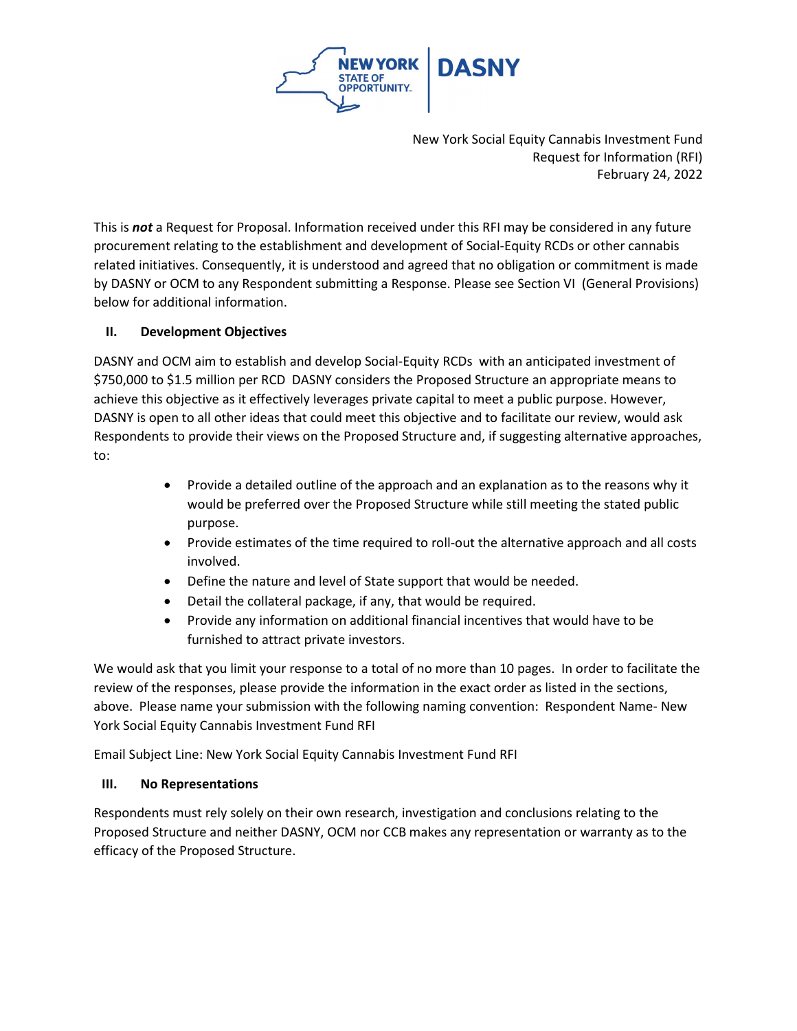

This is *not* a Request for Proposal. Information received under this RFI may be considered in any future procurement relating to the establishment and development of Social-Equity RCDs or other cannabis related initiatives. Consequently, it is understood and agreed that no obligation or commitment is made by DASNY or OCM to any Respondent submitting a Response. Please see Section VI (General Provisions) below for additional information.

# **II. Development Objectives**

DASNY and OCM aim to establish and develop Social-Equity RCDs with an anticipated investment of \$750,000 to \$1.5 million per RCD DASNY considers the Proposed Structure an appropriate means to achieve this objective as it effectively leverages private capital to meet a public purpose. However, DASNY is open to all other ideas that could meet this objective and to facilitate our review, would ask Respondents to provide their views on the Proposed Structure and, if suggesting alternative approaches, to:

- Provide a detailed outline of the approach and an explanation as to the reasons why it would be preferred over the Proposed Structure while still meeting the stated public purpose.
- Provide estimates of the time required to roll-out the alternative approach and all costs involved.
- Define the nature and level of State support that would be needed.
- Detail the collateral package, if any, that would be required.
- Provide any information on additional financial incentives that would have to be furnished to attract private investors.

We would ask that you limit your response to a total of no more than 10 pages. In order to facilitate the review of the responses, please provide the information in the exact order as listed in the sections, above. Please name your submission with the following naming convention: Respondent Name- New York Social Equity Cannabis Investment Fund RFI

Email Subject Line: New York Social Equity Cannabis Investment Fund RFI

# **III. No Representations**

Respondents must rely solely on their own research, investigation and conclusions relating to the Proposed Structure and neither DASNY, OCM nor CCB makes any representation or warranty as to the efficacy of the Proposed Structure.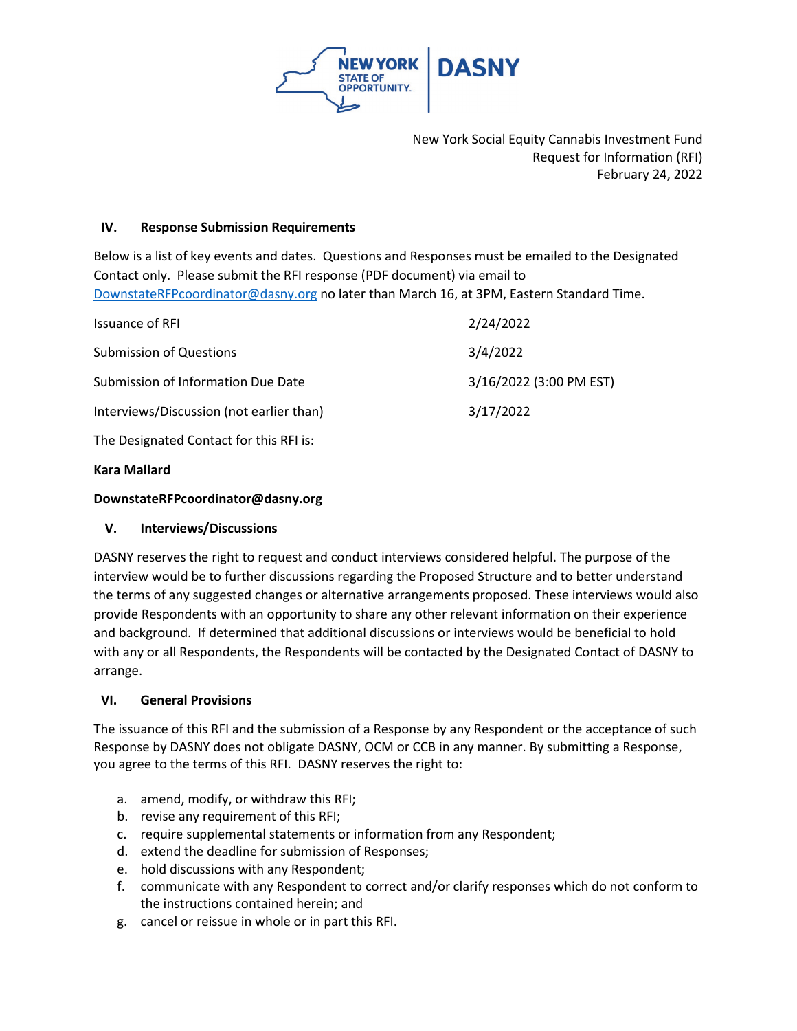

## **IV. Response Submission Requirements**

Below is a list of key events and dates. Questions and Responses must be emailed to the Designated Contact only. Please submit the RFI response (PDF document) via email to [DownstateRFPcoordinator@dasny.org](mailto:DownstateRFPcoordinator@dasny.org) no later than March 16, at 3PM, Eastern Standard Time.

| <b>Issuance of RFI</b>                   | 2/24/2022               |
|------------------------------------------|-------------------------|
| <b>Submission of Questions</b>           | 3/4/2022                |
| Submission of Information Due Date       | 3/16/2022 (3:00 PM EST) |
| Interviews/Discussion (not earlier than) | 3/17/2022               |
| The Designated Contact for this RFI is:  |                         |

**Kara Mallard**

#### **DownstateRFPcoordinator@dasny.org**

## **V. Interviews/Discussions**

DASNY reserves the right to request and conduct interviews considered helpful. The purpose of the interview would be to further discussions regarding the Proposed Structure and to better understand the terms of any suggested changes or alternative arrangements proposed. These interviews would also provide Respondents with an opportunity to share any other relevant information on their experience and background. If determined that additional discussions or interviews would be beneficial to hold with any or all Respondents, the Respondents will be contacted by the Designated Contact of DASNY to arrange.

## **VI. General Provisions**

The issuance of this RFI and the submission of a Response by any Respondent or the acceptance of such Response by DASNY does not obligate DASNY, OCM or CCB in any manner. By submitting a Response, you agree to the terms of this RFI. DASNY reserves the right to:

- a. amend, modify, or withdraw this RFI;
- b. revise any requirement of this RFI;
- c. require supplemental statements or information from any Respondent;
- d. extend the deadline for submission of Responses;
- e. hold discussions with any Respondent;
- f. communicate with any Respondent to correct and/or clarify responses which do not conform to the instructions contained herein; and
- g. cancel or reissue in whole or in part this RFI.